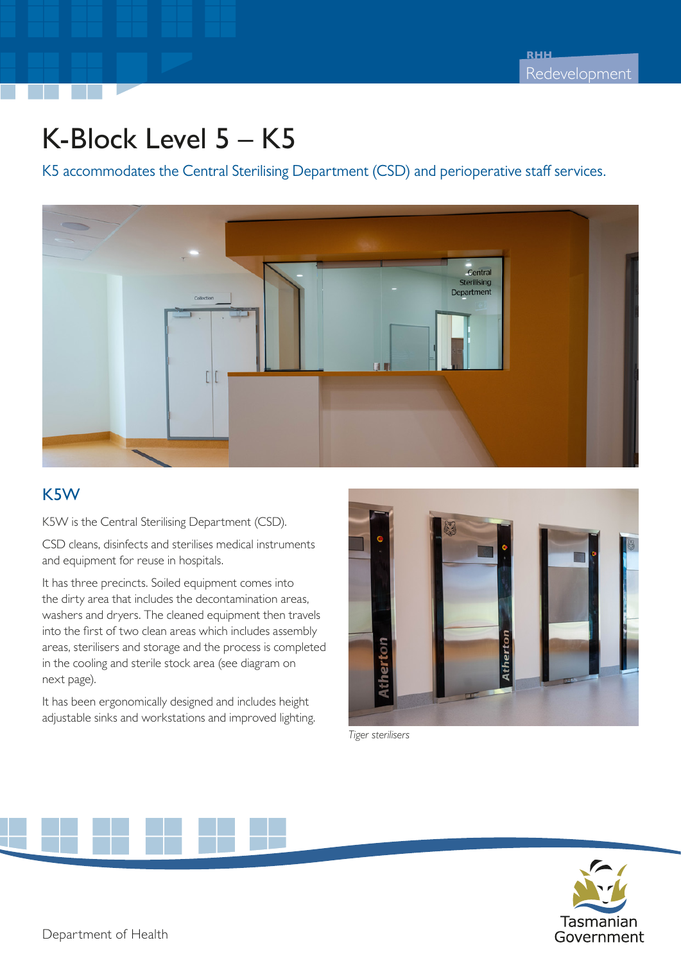## K-Block Level 5 – K5

K5 accommodates the Central Sterilising Department (CSD) and perioperative staff services.



## K5W

K5W is the Central Sterilising Department (CSD).

CSD cleans, disinfects and sterilises medical instruments and equipment for reuse in hospitals.

It has three precincts. Soiled equipment comes into the dirty area that includes the decontamination areas, washers and dryers. The cleaned equipment then travels into the first of two clean areas which includes assembly areas, sterilisers and storage and the process is completed in the cooling and sterile stock area (see diagram on next page).

It has been ergonomically designed and includes height adjustable sinks and workstations and improved lighting.



*Tiger sterilisers*

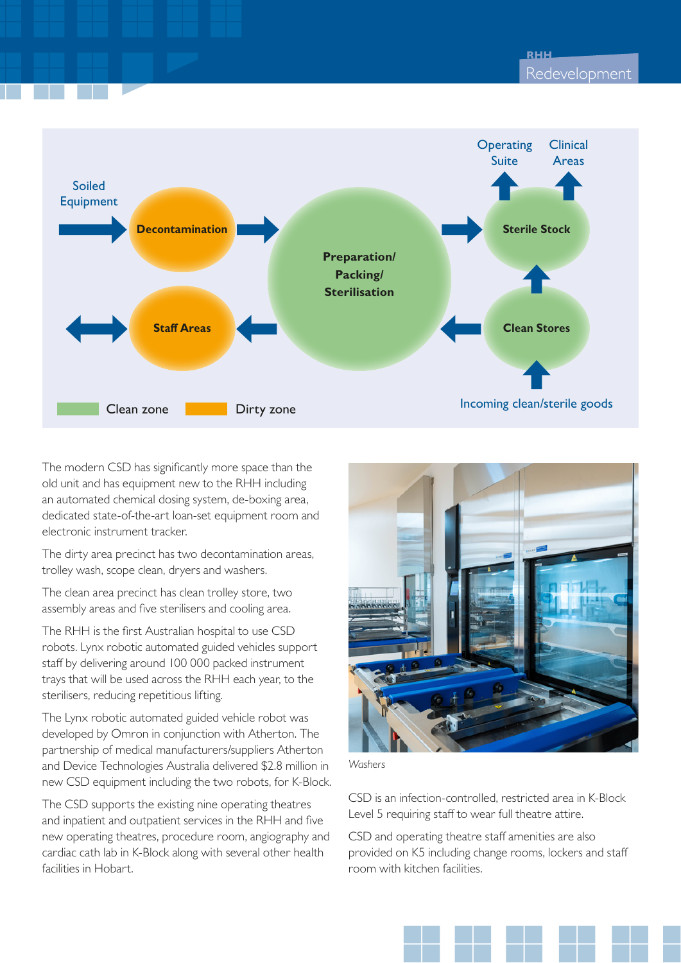

The modern CSD has significantly more space than the old unit and has equipment new to the RHH including an automated chemical dosing system, de-boxing area, dedicated state-of-the-art loan-set equipment room and electronic instrument tracker.

The dirty area precinct has two decontamination areas, trolley wash, scope clean, dryers and washers.

The clean area precinct has clean trolley store, two assembly areas and five sterilisers and cooling area.

The RHH is the first Australian hospital to use CSD robots. Lynx robotic automated guided vehicles support staff by delivering around 100 000 packed instrument trays that will be used across the RHH each year, to the sterilisers, reducing repetitious lifting.

The Lynx robotic automated guided vehicle robot was developed by Omron in conjunction with Atherton. The partnership of medical manufacturers/suppliers Atherton and Device Technologies Australia delivered \$2.8 million in new CSD equipment including the two robots, for K-Block.

The CSD supports the existing nine operating theatres and inpatient and outpatient services in the RHH and five new operating theatres, procedure room, angiography and cardiac cath lab in K-Block along with several other health facilities in Hobart.



*Washers*

CSD is an infection-controlled, restricted area in K-Block Level 5 requiring staff to wear full theatre attire.

CSD and operating theatre staff amenities are also provided on K5 including change rooms, lockers and staff room with kitchen facilities.